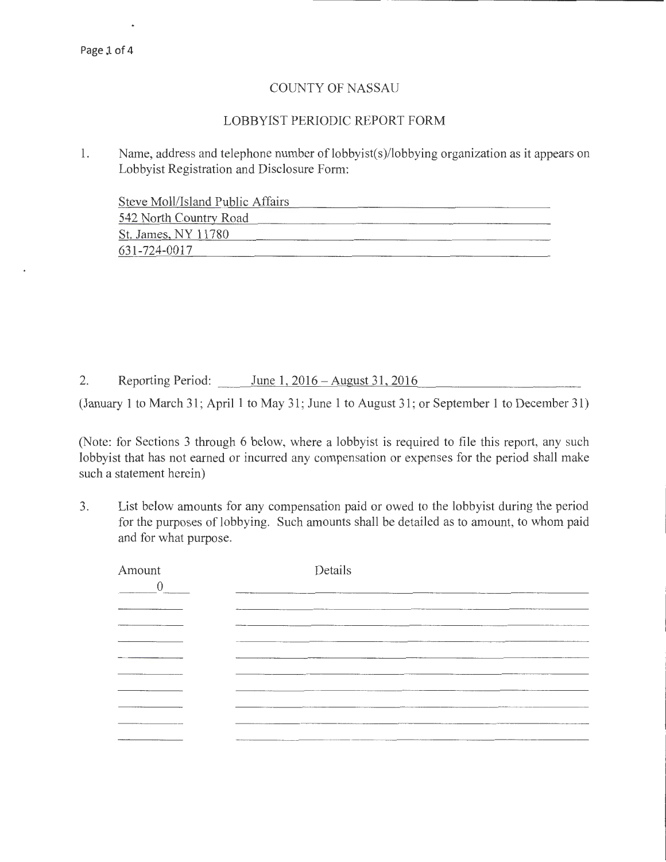## COUNTY OF NASSAU

## LOBBYIST PERIODIC REPORT FORM

1. Name, address and telephone number of lobbyist(s)/lobbying organization as it appears on Lobbyist Registration and Disclosure Form:

| Steve Moll/Island Public Affairs |  |
|----------------------------------|--|
| 542 North Country Road           |  |
| St. James, NY 11780              |  |
| 631-724-0017                     |  |

2. Reporting Period: June 1, 2016 - August 31, 2016

(January 1 to March 31; April 1 to May 31; June 1 to August 31 ; or September 1 to December 31)

(Note: for Sections 3 through 6 below, where a lobbyist is required to file this report, any such lobbyist that has not earned or incurred any compensation or expenses for the period shall make such a statement herein)

3. List below amounts for any compensation paid or owed to the lobbyist during the period for the purposes of lobbying. Such amounts shall be detailed as to amount, to whom paid and for what purpose.

| Amount<br>$\theta$ | Details                                      |
|--------------------|----------------------------------------------|
|                    | <b><i><u>Property Administration</u></i></b> |
|                    | <b>Philadelphia and Committee Committee</b>  |
| __                 | ---------                                    |
|                    | -----------<br>_____                         |
|                    | -----                                        |
| ______             | ----------                                   |
|                    | <b><i><u>AMARENT WINDOWS</u></i></b>         |
|                    |                                              |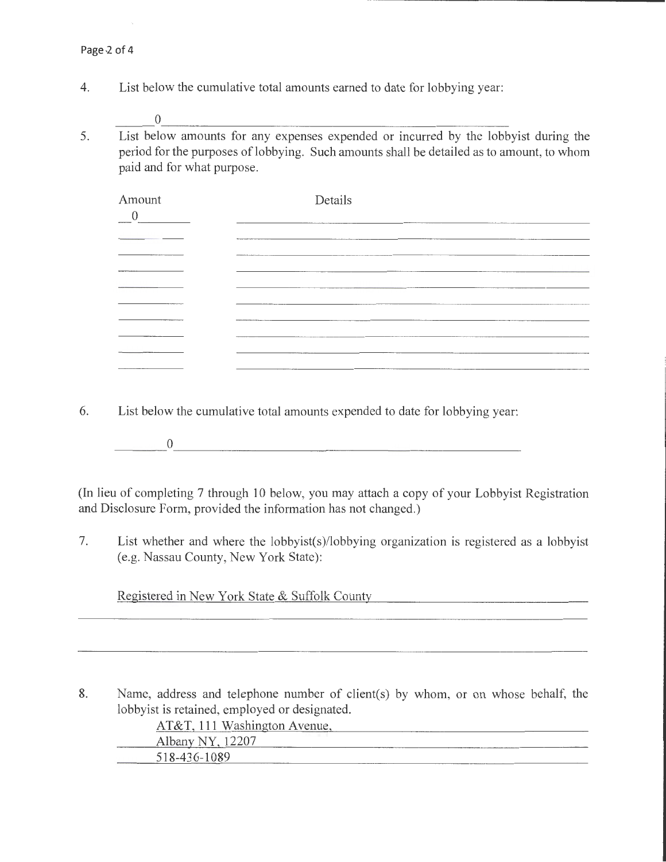$\mathcal{L}_\mathrm{c}$ 

4. List below the cumulative total amounts earned to date for lobbying year:

 $_0$ 

5. List below amounts for any expenses expended or incurred by the lobbyist during the period for the purposes of lobbying. Such amounts shall be detailed as to amount, to whom paid and for what purpose.

| Amount   | Details                                                   |
|----------|-----------------------------------------------------------|
|          |                                                           |
|          | ----<br>The same work and have been presented to the      |
|          | _________                                                 |
|          | --------                                                  |
|          | ______                                                    |
|          |                                                           |
|          |                                                           |
| ________ | <b>APPLAINING BISPERMENT APL &amp; LOCATION</b><br>______ |
|          | ________                                                  |

- 6. List below the cumulative total amounts expended to date for lobbying year:
	- $\begin{array}{c} 0 \end{array}$  , which is a set of  $\begin{array}{c} 0 \end{array}$  , which is a set of  $\begin{array}{c} 0 \end{array}$

(In lieu of completing 7 through 10 below, you may attach a copy of your Lobbyist Registration and Disclosure Form, provided the information has not changed.)

7. List whether and where the lobbyist(s)/lobbying organization is registered as a lobbyist (e.g. Nassau County, New York State):

Registered in New York State & Suffolk County

8. Name, address and telephone number of client(s) by whom, or on whose behalf, the lobbyist is retained, employed or designated.

| AT&T, 111 Washington Avenue, |                                           |
|------------------------------|-------------------------------------------|
| Albany NY, 12207             |                                           |
| 518-436-1089                 | <b>CONTRACTOR CONTRACTOR INCOME DO AN</b> |
|                              |                                           |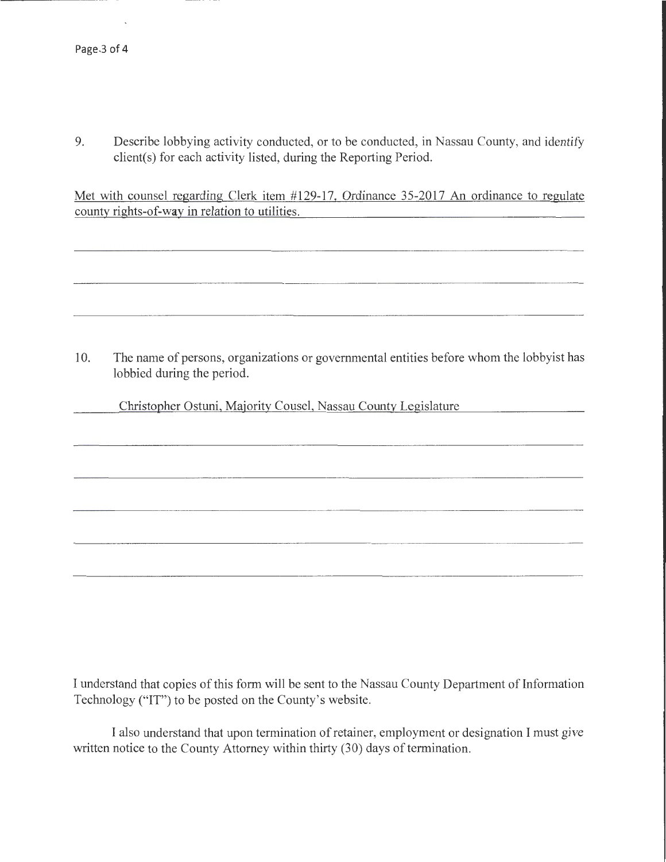-------------------------- -----

9. Describe lobbying activity conducted, or to be conducted, in Nassau County, and identify client(s) for each activity listed, during the Reporting Period.

Met with counsel regarding Clerk item #129-17, Ordinance 35-2017 An ordinance to regulate county rights-of-way in relation to utilities.

10. The name of persons, organizations or governmental entities before whom the lobbyist has lobbied during the period.

Christopher Ostuni, Majority Cousel, Nassau County Legislature

I understand that copies of this form will be sent to the Nassau County Department of Information Technology ("IT") to be posted on the County's website.

I also understand that upon termination of retainer, employment or designation I must give written notice to the County Attorney within thirty (30) days of termination.